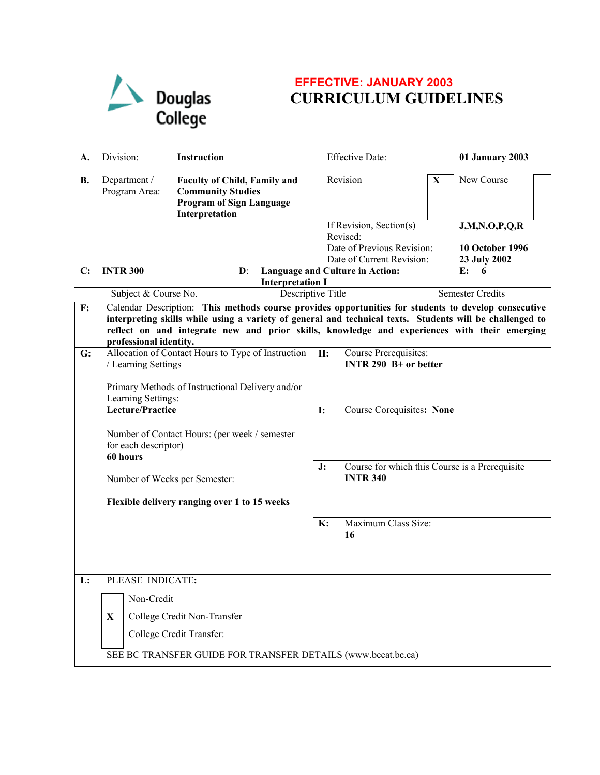

## **EFFECTIVE: JANUARY 2003 CURRICULUM GUIDELINES**

| А.             | Division:                                                                                                                                                                                                                                                                                                                                  | <b>Instruction</b>                                                                                                   |           | <b>Effective Date:</b>                                            |   | 01 January 2003                        |  |  |
|----------------|--------------------------------------------------------------------------------------------------------------------------------------------------------------------------------------------------------------------------------------------------------------------------------------------------------------------------------------------|----------------------------------------------------------------------------------------------------------------------|-----------|-------------------------------------------------------------------|---|----------------------------------------|--|--|
| В.             | Department /<br>Program Area:                                                                                                                                                                                                                                                                                                              | <b>Faculty of Child, Family and</b><br><b>Community Studies</b><br><b>Program of Sign Language</b><br>Interpretation |           | Revision                                                          | X | New Course                             |  |  |
|                |                                                                                                                                                                                                                                                                                                                                            |                                                                                                                      |           | If Revision, Section(s)<br>Revised:                               |   | J,M,N,O,P,Q,R                          |  |  |
|                |                                                                                                                                                                                                                                                                                                                                            |                                                                                                                      |           | Date of Previous Revision:<br>Date of Current Revision:           |   | <b>10 October 1996</b><br>23 July 2002 |  |  |
| C:             | <b>INTR 300</b>                                                                                                                                                                                                                                                                                                                            | $\mathbf{D}$ :                                                                                                       |           | Language and Culture in Action:                                   |   | E:<br>6                                |  |  |
|                | Subject & Course No.                                                                                                                                                                                                                                                                                                                       | <b>Interpretation I</b><br>Descriptive Title                                                                         |           |                                                                   |   | <b>Semester Credits</b>                |  |  |
| F:             | Calendar Description: This methods course provides opportunities for students to develop consecutive<br>interpreting skills while using a variety of general and technical texts. Students will be challenged to<br>reflect on and integrate new and prior skills, knowledge and experiences with their emerging<br>professional identity. |                                                                                                                      |           |                                                                   |   |                                        |  |  |
| $\mathbf{G}$ : | Allocation of Contact Hours to Type of Instruction<br>/ Learning Settings<br>Primary Methods of Instructional Delivery and/or<br>Learning Settings:<br>Lecture/Practice<br>Number of Contact Hours: (per week / semester<br>for each descriptor)<br>60 hours                                                                               |                                                                                                                      | H:        | Course Prerequisites:<br>INTR 290 $B+$ or better                  |   |                                        |  |  |
|                |                                                                                                                                                                                                                                                                                                                                            |                                                                                                                      | <b>I:</b> | Course Corequisites: None                                         |   |                                        |  |  |
|                |                                                                                                                                                                                                                                                                                                                                            |                                                                                                                      |           |                                                                   |   |                                        |  |  |
|                |                                                                                                                                                                                                                                                                                                                                            | Number of Weeks per Semester:                                                                                        |           | Course for which this Course is a Prerequisite<br><b>INTR 340</b> |   |                                        |  |  |
|                |                                                                                                                                                                                                                                                                                                                                            | Flexible delivery ranging over 1 to 15 weeks                                                                         |           |                                                                   |   |                                        |  |  |
|                |                                                                                                                                                                                                                                                                                                                                            |                                                                                                                      | K:        | Maximum Class Size:<br>16                                         |   |                                        |  |  |
| L:             | PLEASE INDICATE:                                                                                                                                                                                                                                                                                                                           |                                                                                                                      |           |                                                                   |   |                                        |  |  |
|                |                                                                                                                                                                                                                                                                                                                                            |                                                                                                                      |           |                                                                   |   |                                        |  |  |
|                | Non-Credit<br>$\mathbf{X}$                                                                                                                                                                                                                                                                                                                 |                                                                                                                      |           |                                                                   |   |                                        |  |  |
|                |                                                                                                                                                                                                                                                                                                                                            | College Credit Non-Transfer<br>College Credit Transfer:                                                              |           |                                                                   |   |                                        |  |  |
|                | SEE BC TRANSFER GUIDE FOR TRANSFER DETAILS (www.bccat.bc.ca)                                                                                                                                                                                                                                                                               |                                                                                                                      |           |                                                                   |   |                                        |  |  |
|                |                                                                                                                                                                                                                                                                                                                                            |                                                                                                                      |           |                                                                   |   |                                        |  |  |